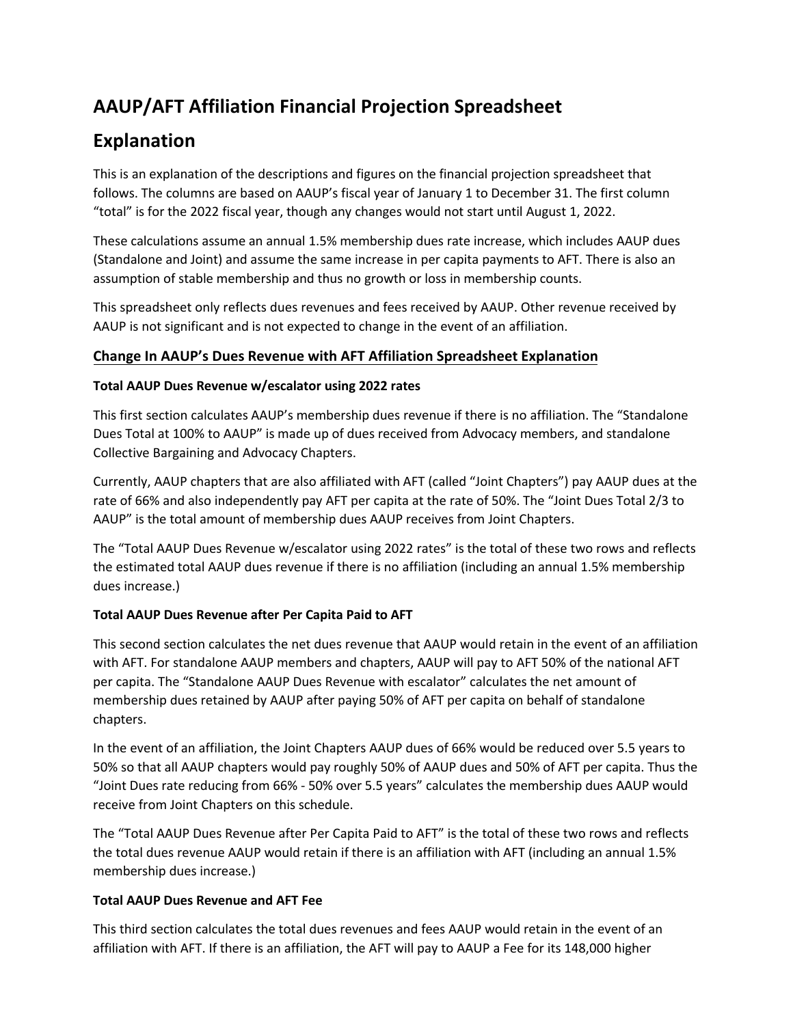# **AAUP/AFT Affiliation Financial Projection Spreadsheet**

## **Explanation**

This is an explanation of the descriptions and figures on the financial projection spreadsheet that follows. The columns are based on AAUP's fiscal year of January 1 to December 31. The first column "total" is for the 2022 fiscal year, though any changes would not start until August 1, 2022.

These calculations assume an annual 1.5% membership dues rate increase, which includes AAUP dues (Standalone and Joint) and assume the same increase in per capita payments to AFT. There is also an assumption of stable membership and thus no growth or loss in membership counts.

This spreadsheet only reflects dues revenues and fees received by AAUP. Other revenue received by AAUP is not significant and is not expected to change in the event of an affiliation.

### **Change In AAUP's Dues Revenue with AFT Affiliation Spreadsheet Explanation**

#### **Total AAUP Dues Revenue w/escalator using 2022 rates**

This first section calculates AAUP's membership dues revenue if there is no affiliation. The "Standalone Dues Total at 100% to AAUP" is made up of dues received from Advocacy members, and standalone Collective Bargaining and Advocacy Chapters.

Currently, AAUP chapters that are also affiliated with AFT (called "Joint Chapters") pay AAUP dues at the rate of 66% and also independently pay AFT per capita at the rate of 50%. The "Joint Dues Total 2/3 to AAUP" is the total amount of membership dues AAUP receives from Joint Chapters.

The "Total AAUP Dues Revenue w/escalator using 2022 rates" is the total of these two rows and reflects the estimated total AAUP dues revenue if there is no affiliation (including an annual 1.5% membership dues increase.)

#### **Total AAUP Dues Revenue after Per Capita Paid to AFT**

This second section calculates the net dues revenue that AAUP would retain in the event of an affiliation with AFT. For standalone AAUP members and chapters, AAUP will pay to AFT 50% of the national AFT per capita. The "Standalone AAUP Dues Revenue with escalator" calculates the net amount of membership dues retained by AAUP after paying 50% of AFT per capita on behalf of standalone chapters.

In the event of an affiliation, the Joint Chapters AAUP dues of 66% would be reduced over 5.5 years to 50% so that all AAUP chapters would pay roughly 50% of AAUP dues and 50% of AFT per capita. Thus the "Joint Dues rate reducing from 66% - 50% over 5.5 years" calculates the membership dues AAUP would receive from Joint Chapters on this schedule.

The "Total AAUP Dues Revenue after Per Capita Paid to AFT" is the total of these two rows and reflects the total dues revenue AAUP would retain if there is an affiliation with AFT (including an annual 1.5% membership dues increase.)

#### **Total AAUP Dues Revenue and AFT Fee**

This third section calculates the total dues revenues and fees AAUP would retain in the event of an affiliation with AFT. If there is an affiliation, the AFT will pay to AAUP a Fee for its 148,000 higher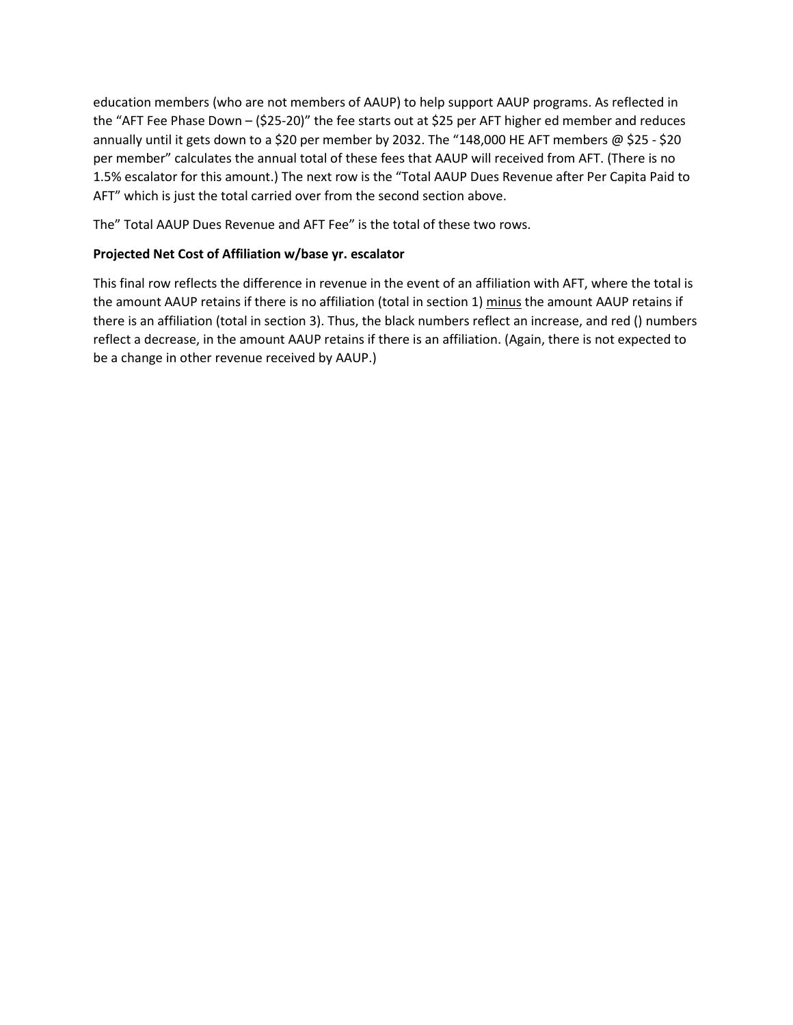education members (who are not members of AAUP) to help support AAUP programs. As reflected in the "AFT Fee Phase Down – (\$25-20)" the fee starts out at \$25 per AFT higher ed member and reduces annually until it gets down to a \$20 per member by 2032. The "148,000 HE AFT members @ \$25 - \$20 per member" calculates the annual total of these fees that AAUP will received from AFT. (There is no 1.5% escalator for this amount.) The next row is the "Total AAUP Dues Revenue after Per Capita Paid to AFT" which is just the total carried over from the second section above.

The" Total AAUP Dues Revenue and AFT Fee" is the total of these two rows.

#### **Projected Net Cost of Affiliation w/base yr. escalator**

This final row reflects the difference in revenue in the event of an affiliation with AFT, where the total is the amount AAUP retains if there is no affiliation (total in section 1) minus the amount AAUP retains if there is an affiliation (total in section 3). Thus, the black numbers reflect an increase, and red () numbers reflect a decrease, in the amount AAUP retains if there is an affiliation. (Again, there is not expected to be a change in other revenue received by AAUP.)